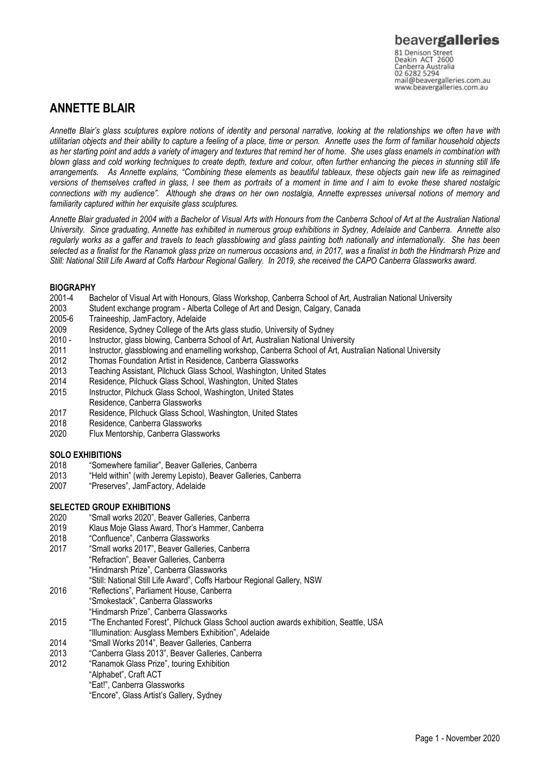## **ANNETTE BLAIR**

*Annette Blair's glass sculptures explore notions of identity and personal narrative, looking at the relationships we often have with utilitarian objects and their ability to capture a feeling of a place, time or person. Annette uses the form of familiar household objects as her starting point and adds a variety of imagery and textures that remind her of home. She uses glass enamels in combination with blown glass and cold working techniques to create depth, texture and colour, often further enhancing the pieces in stunning still life arrangements. As Annette explains, "Combining these elements as beautiful tableaux, these objects gain new life as reimagined versions of themselves crafted in glass, I see them as portraits of a moment in time and I aim to evoke these shared nostalgic connections with my audience". Although she draws on her own nostalgia, Annette expresses universal notions of memory and familiarity captured within her exquisite glass sculptures.*

*Annette Blair graduated in 2004 with a Bachelor of Visual Arts with Honours from the Canberra School of Art at the Australian National University. Since graduating, Annette has exhibited in numerous group exhibitions in Sydney, Adelaide and Canberra. Annette also regularly works as a gaffer and travels to teach glassblowing and glass painting both nationally and internationally. She has been selected as a finalist for the Ranamok glass prize on numerous occasions and, in 2017, was a finalist in both the Hindmarsh Prize and Still: National Still Life Award at Coffs Harbour Regional Gallery. In 2019, she received the CAPO Canberra Glassworks award.* 

# **BIOGRAPHY**<br>2001-4 Ba

- 2001-4 Bachelor of Visual Art with Honours, Glass Workshop, Canberra School of Art, Australian National University<br>2003 Student exchange program Alberta College of Art and Design, Calgary, Canada
- 2003 Student exchange program Alberta College of Art and Design, Calgary, Canada
- Traineeship, JamFactory, Adelaide
- 2009 Residence, Sydney College of the Arts glass studio, University of Sydney
- 2010 Instructor, glass blowing, Canberra School of Art, Australian National University
- 2011 Instructor, glassblowing and enamelling workshop, Canberra School of Art, Australian National University
- 2012 Thomas Foundation Artist in Residence, Canberra Glassworks
- 2013 Teaching Assistant, Pilchuck Glass School, Washington, United States
- 2014 Residence, Pilchuck Glass School, Washington, United States
- Instructor, Pilchuck Glass School, Washington, United States
- Residence, Canberra Glassworks
- 2017 Residence, Pilchuck Glass School, Washington, United States
- Residence, Canberra Glassworks
- 2020 Flux Mentorship, Canberra Glassworks

#### **SOLO EXHIBITIONS**

- 2018 "Somewhere familiar", Beaver Galleries, Canberra
- 2013 "Held within" (with Jeremy Lepisto), Beaver Galleries, Canberra<br>2007 "Preserves", JamFactory, Adelaide
- "Preserves", JamFactory, Adelaide

#### **SELECTED GROUP EXHIBITIONS**

- 2020 "Small works 2020", Beaver Galleries, Canberra
- 2019 Klaus Moje Glass Award, Thor's Hammer, Canberra
- 2018 "Confluence", Canberra Glassworks
- 2017 "Small works 2017", Beaver Galleries, Canberra "Refraction", Beaver Galleries, Canberra "Hindmarsh Prize", Canberra Glassworks "Still: National Still Life Award", Coffs Harbour Regional Gallery, NSW
- 2016 "Reflections", Parliament House, Canberra "Smokestack", Canberra Glassworks
- "Hindmarsh Prize", Canberra Glassworks
- 2015 "The Enchanted Forest", Pilchuck Glass School auction awards exhibition, Seattle, USA
- "Illumination: Ausglass Members Exhibition", Adelaide
- 2014 "Small Works 2014", Beaver Galleries, Canberra
- 2013 "Canberra Glass 2013", Beaver Galleries, Canberra
- 2012 "Ranamok Glass Prize", touring Exhibition
- "Alphabet", Craft ACT "Eat!", Canberra Glassworks "Encore", Glass Artist's Gallery, Sydney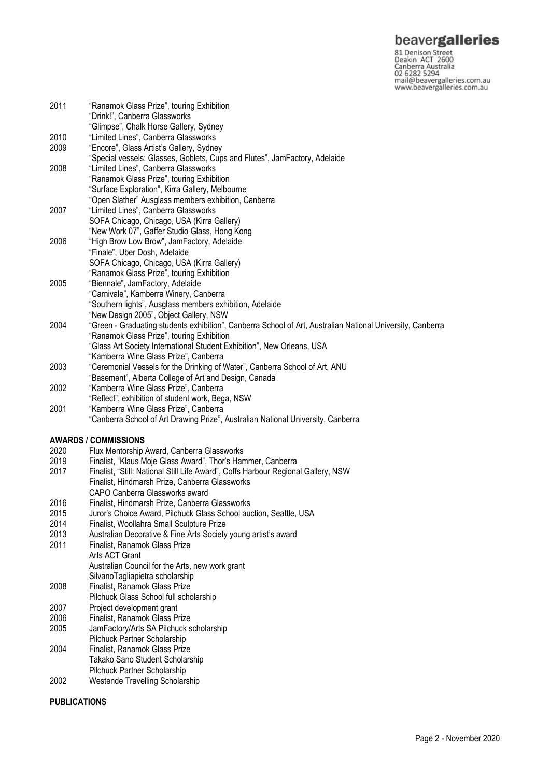**beavergalleries**<br> **81 Denison Street**<br>
Deakin ACT 2600<br>
Canberra Australia<br>
02 6282 5294<br>
mail@beavergalleries.com.au<br>
www.beavergalleries.com.au

| 2011 | "Ranamok Glass Prize", touring Exhibition<br>"Drink!", Canberra Glassworks                                 |
|------|------------------------------------------------------------------------------------------------------------|
|      | "Glimpse", Chalk Horse Gallery, Sydney                                                                     |
| 2010 | "Limited Lines", Canberra Glassworks                                                                       |
| 2009 | "Encore", Glass Artist's Gallery, Sydney                                                                   |
|      | "Special vessels: Glasses, Goblets, Cups and Flutes", JamFactory, Adelaide                                 |
| 2008 | "Limited Lines", Canberra Glassworks                                                                       |
|      | "Ranamok Glass Prize", touring Exhibition                                                                  |
|      | "Surface Exploration", Kirra Gallery, Melbourne                                                            |
|      | "Open Slather" Ausglass members exhibition, Canberra                                                       |
| 2007 | "Limited Lines", Canberra Glassworks                                                                       |
|      | SOFA Chicago, Chicago, USA (Kirra Gallery)                                                                 |
|      | "New Work 07", Gaffer Studio Glass, Hong Kong                                                              |
| 2006 | "High Brow Low Brow", JamFactory, Adelaide                                                                 |
|      | "Finale", Uber Dosh, Adelaide                                                                              |
|      | SOFA Chicago, Chicago, USA (Kirra Gallery)                                                                 |
|      | "Ranamok Glass Prize", touring Exhibition                                                                  |
| 2005 | "Biennale", JamFactory, Adelaide                                                                           |
|      | "Carnivale", Kamberra Winery, Canberra                                                                     |
|      | "Southern lights", Ausglass members exhibition, Adelaide                                                   |
|      | "New Design 2005", Object Gallery, NSW                                                                     |
| 2004 | "Green - Graduating students exhibition", Canberra School of Art, Australian National University, Canberra |
|      | "Ranamok Glass Prize", touring Exhibition                                                                  |
|      | "Glass Art Society International Student Exhibition", New Orleans, USA                                     |
|      | "Kamberra Wine Glass Prize", Canberra                                                                      |
| 2003 | "Ceremonial Vessels for the Drinking of Water", Canberra School of Art, ANU                                |
|      | "Basement", Alberta College of Art and Design, Canada                                                      |
| 2002 | "Kamberra Wine Glass Prize", Canberra                                                                      |
|      | "Reflect", exhibition of student work, Bega, NSW                                                           |
| 2001 | "Kamberra Wine Glass Prize", Canberra                                                                      |
|      | "Canberra School of Art Drawing Prize", Australian National University, Canberra                           |
|      |                                                                                                            |
|      | <b>AWARDS / COMMISSIONS</b>                                                                                |
| 2020 | Flux Mentorship Award, Canberra Glassworks                                                                 |
| 2019 | Finalist, "Klaus Moje Glass Award", Thor's Hammer, Canberra                                                |
| 2017 | Finalist, "Still: National Still Life Award", Coffs Harbour Regional Gallery, NSW                          |
|      | Finalist, Hindmarsh Prize, Canberra Glassworks                                                             |
|      | CAPO Canberra Glassworks award                                                                             |
| 2016 | Finalist, Hindmarsh Prize, Canberra Glassworks                                                             |
| 2015 | Juror's Choice Award, Pilchuck Glass School auction, Seattle, USA                                          |
| 2014 | Finalist, Woollahra Small Sculpture Prize                                                                  |
| 2013 | Australian Decorative & Fine Arts Society young artist's award                                             |
| 2011 | Finalist, Ranamok Glass Prize                                                                              |
|      | Arts ACT Grant                                                                                             |
|      | Australian Council for the Arts, new work grant                                                            |
|      | SilvanoTagliapietra scholarship                                                                            |
| 2008 | Finalist, Ranamok Glass Prize                                                                              |
|      | Pilchuck Glass School full scholarship                                                                     |
| 2007 | Project development grant                                                                                  |
| 2006 | Finalist, Ranamok Glass Prize                                                                              |
| 2005 | JamFactory/Arts SA Pilchuck scholarship                                                                    |
|      | Pilchuck Partner Scholarship                                                                               |
| 2004 | Finalist, Ranamok Glass Prize                                                                              |
|      | Takako Sano Student Scholarship                                                                            |
|      | Pilchuck Partner Scholarship                                                                               |
| 2002 | Westende Travelling Scholarship                                                                            |

### **PUBLICATIONS**